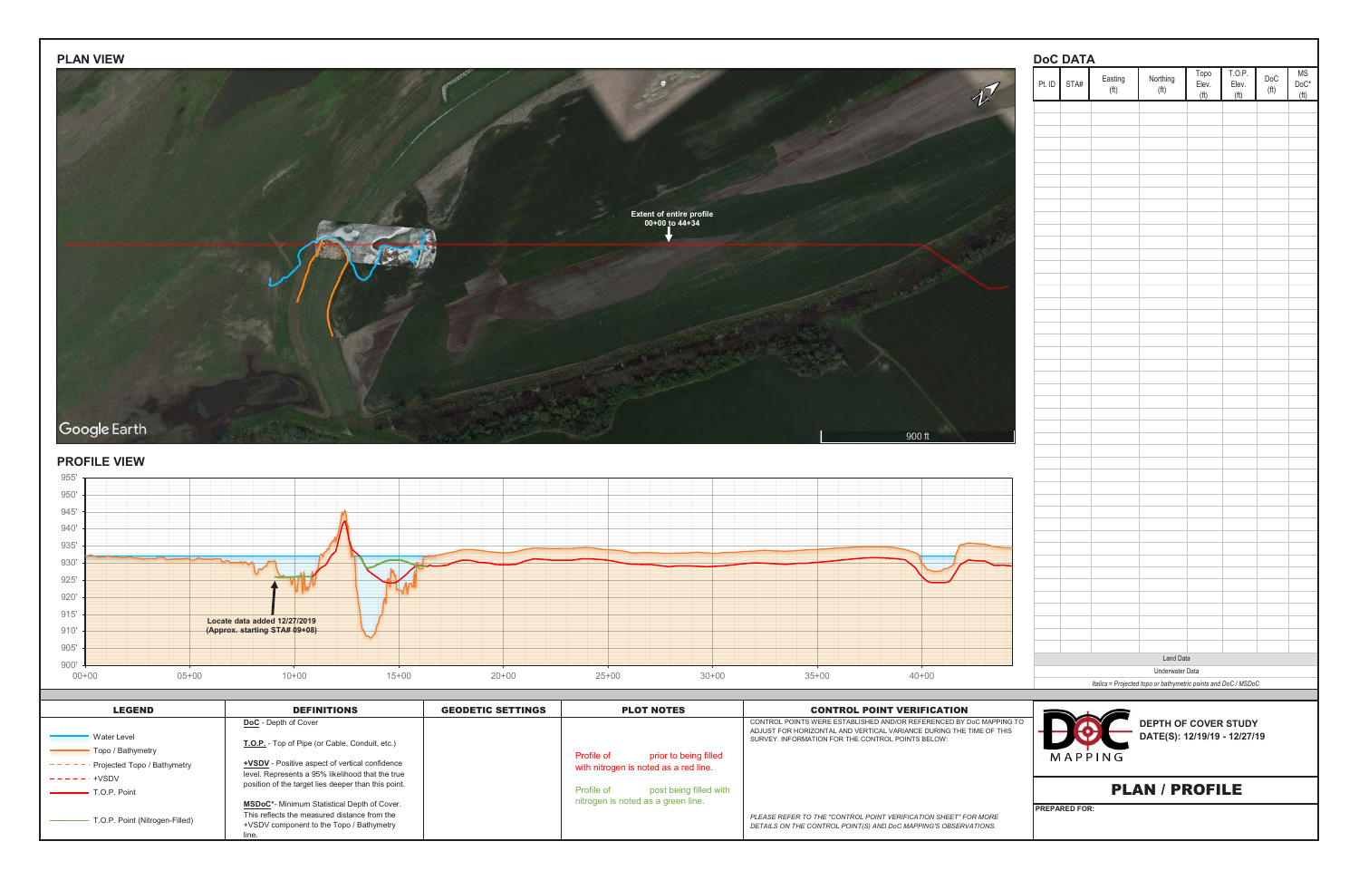| Pt. ID | STA# | Easting<br>(f <sup>t</sup> ) | Northing<br>(ft)                                               | Topo<br>Elev.<br>(ft) | T.O.P.<br>Elev.<br>(ft) | $\mathsf{DoC}$<br>(f <sup>t</sup> ) | $DoC*$ |
|--------|------|------------------------------|----------------------------------------------------------------|-----------------------|-------------------------|-------------------------------------|--------|
|        |      |                              |                                                                |                       |                         |                                     |        |
|        |      |                              |                                                                |                       |                         |                                     |        |
|        |      |                              |                                                                |                       |                         |                                     |        |
|        |      |                              |                                                                |                       |                         |                                     |        |
|        |      |                              |                                                                |                       |                         |                                     |        |
|        |      |                              |                                                                |                       |                         |                                     |        |
|        |      |                              |                                                                |                       |                         |                                     |        |
|        |      |                              |                                                                |                       |                         |                                     |        |
|        |      |                              |                                                                |                       |                         |                                     |        |
|        |      |                              |                                                                |                       |                         |                                     |        |
|        |      |                              |                                                                |                       |                         |                                     |        |
|        |      |                              |                                                                |                       |                         |                                     |        |
|        |      |                              |                                                                |                       |                         |                                     |        |
|        |      |                              |                                                                |                       |                         |                                     |        |
|        |      |                              |                                                                |                       |                         |                                     |        |
|        |      |                              |                                                                |                       |                         |                                     |        |
|        |      |                              |                                                                |                       |                         |                                     |        |
|        |      |                              |                                                                |                       |                         |                                     |        |
|        |      |                              |                                                                |                       |                         |                                     |        |
|        |      |                              |                                                                |                       |                         |                                     |        |
|        |      |                              |                                                                |                       |                         |                                     |        |
|        |      |                              |                                                                |                       |                         |                                     |        |
|        |      |                              |                                                                |                       |                         |                                     |        |
|        |      |                              |                                                                |                       |                         |                                     |        |
|        |      |                              |                                                                |                       |                         |                                     |        |
|        |      |                              |                                                                |                       |                         |                                     |        |
|        |      |                              |                                                                |                       |                         |                                     |        |
|        |      |                              |                                                                |                       |                         |                                     |        |
|        |      |                              |                                                                |                       |                         |                                     |        |
|        |      |                              |                                                                |                       |                         |                                     |        |
|        |      |                              |                                                                |                       |                         |                                     |        |
|        |      |                              |                                                                |                       |                         |                                     |        |
|        |      |                              |                                                                |                       |                         |                                     |        |
|        |      |                              |                                                                |                       |                         |                                     |        |
|        |      |                              |                                                                |                       |                         |                                     |        |
|        |      |                              |                                                                |                       |                         |                                     |        |
|        |      |                              | Land Data                                                      |                       |                         |                                     |        |
|        |      |                              | Underwater Data                                                |                       |                         |                                     |        |
|        |      |                              | Italics = Projected topo or bathymetric points and DoC / MSDoC |                       |                         |                                     |        |
|        |      |                              |                                                                |                       |                         |                                     |        |
|        |      |                              | <b>DEPTH OF COVER STUDY</b>                                    |                       |                         |                                     |        |
|        |      |                              | DATE(S): 12/19/19 - 12/27/19                                   |                       |                         |                                     |        |
|        |      | MAPPING                      |                                                                |                       |                         |                                     |        |
|        |      |                              |                                                                |                       |                         |                                     |        |
|        |      |                              |                                                                |                       |                         |                                     |        |
|        |      |                              |                                                                |                       |                         |                                     |        |
|        |      |                              | <b>PLAN / PROFILE</b>                                          |                       |                         |                                     |        |



| <b>LEGEND</b>                  | <b>DEFINITIONS</b>                                                                                                                      | <b>GEODETIC SETTINGS</b> | <b>PLOT NOTES</b>                          | <b>CONTROL POINT VERIFICATION</b>                                                                                                          |                                          |
|--------------------------------|-----------------------------------------------------------------------------------------------------------------------------------------|--------------------------|--------------------------------------------|--------------------------------------------------------------------------------------------------------------------------------------------|------------------------------------------|
| <b>Water Level</b>             | <b>DoC</b> - Depth of Cover                                                                                                             |                          |                                            | CONTROL POINTS WERE ESTABLISHED AND/OR REFERENCED BY DoC MAPPING TO<br>ADJUST FOR HORIZONTAL AND VERTICAL VARIANCE DURING THE TIME OF THIS | <b>DEPTH OF C</b><br><b>DATE(S): 12/</b> |
| Topo / Bathymetry              | T.O.P. - Top of Pipe (or Cable, Conduit, etc.)                                                                                          |                          | prior to being filled<br><b>Profile of</b> | SURVEY. INFORMATION FOR THE CONTROL POINTS BELOW:                                                                                          | MAPPING                                  |
| Projected Topo / Bathymetry    | <b>+VSDV</b> - Positive aspect of vertical confidence<br>level. Represents a 95% likelihood that the true                               |                          | with nitrogen is noted as a red line.      |                                                                                                                                            |                                          |
| +VSDV<br>T.O.P. Point          | position of the target lies deeper than this point.                                                                                     |                          | post being filled with<br>Profile of       |                                                                                                                                            | <b>PLAN / PR</b>                         |
| T.O.P. Point (Nitrogen-Filled) | MSDoC*- Minimum Statistical Depth of Cover.<br>This reflects the measured distance from the<br>+VSDV component to the Topo / Bathymetry |                          | nitrogen is noted as a green line.         | PLEASE REFER TO THE "CONTROL POINT VERIFICATION SHEET" FOR MORE<br>DETAILS ON THE CONTROL POINT(S) AND DoC MAPPING'S OBSERVATIONS.         | <b>IPREPARED FOR:</b>                    |

# **PROFILE VIEW**

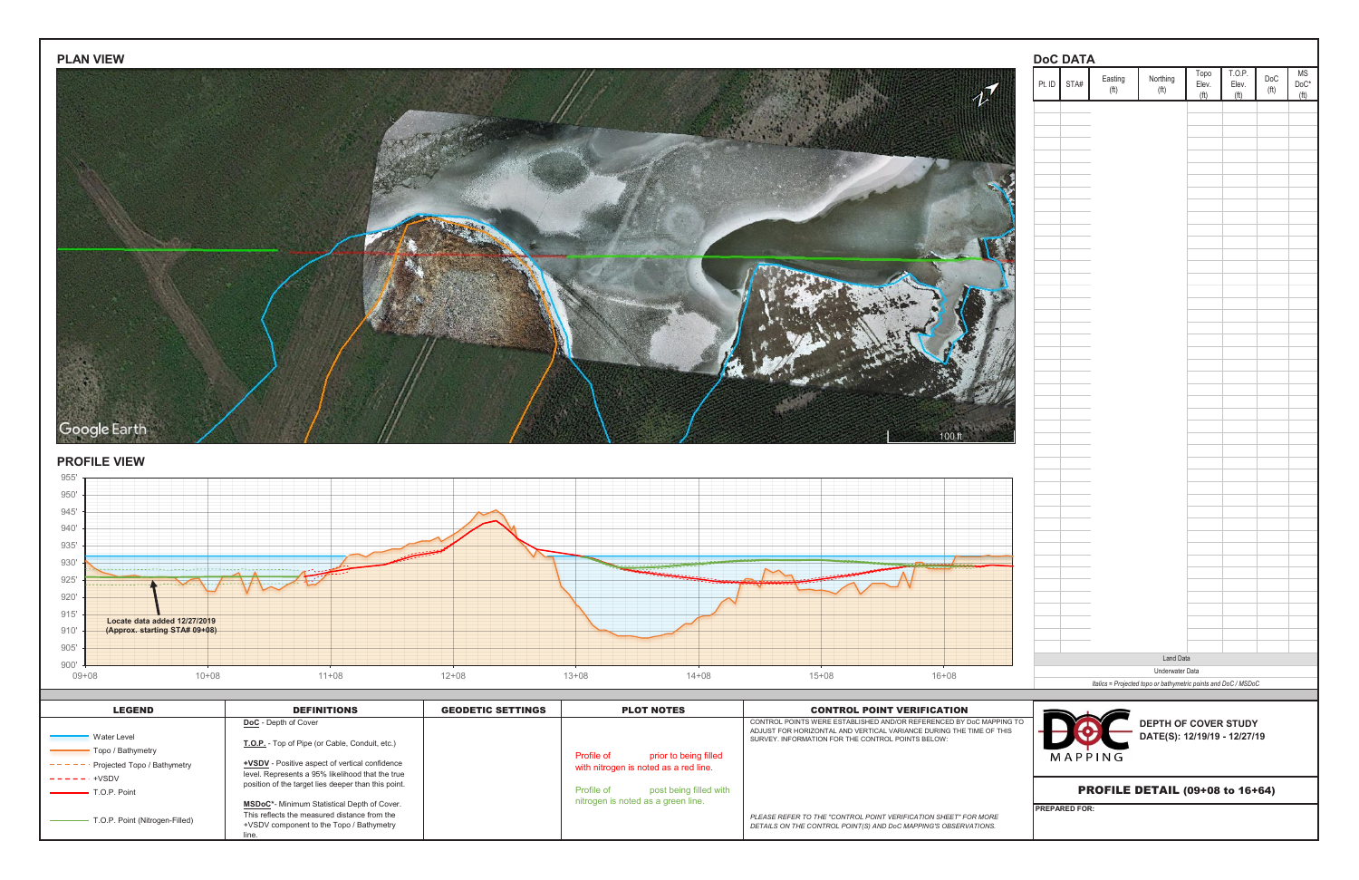| <b>PLAN VIEW</b>                                                      |                                                                                                    |                          |                                       |                                                                                                                                            |                                                                 | <b>DoC DATA</b>                        |                                            |                                                                |                          |              |
|-----------------------------------------------------------------------|----------------------------------------------------------------------------------------------------|--------------------------|---------------------------------------|--------------------------------------------------------------------------------------------------------------------------------------------|-----------------------------------------------------------------|----------------------------------------|--------------------------------------------|----------------------------------------------------------------|--------------------------|--------------|
|                                                                       |                                                                                                    |                          |                                       |                                                                                                                                            |                                                                 | Easting<br>Pt. ID STA#<br>(ft)         | Northing<br>(f <sup>t</sup> )              | .0. P<br>Торо<br>Elev.<br>Elev.                                | DoC<br>(f <sup>t</sup> ) | ΜS<br>$DoC*$ |
|                                                                       |                                                                                                    |                          |                                       |                                                                                                                                            | $\boldsymbol{\psi}'$                                            |                                        |                                            |                                                                |                          | /ff          |
|                                                                       |                                                                                                    |                          |                                       |                                                                                                                                            |                                                                 |                                        |                                            |                                                                |                          |              |
|                                                                       |                                                                                                    |                          |                                       |                                                                                                                                            |                                                                 |                                        |                                            |                                                                |                          |              |
|                                                                       |                                                                                                    |                          |                                       |                                                                                                                                            |                                                                 |                                        |                                            |                                                                |                          |              |
|                                                                       |                                                                                                    |                          |                                       |                                                                                                                                            |                                                                 |                                        |                                            |                                                                |                          |              |
|                                                                       |                                                                                                    |                          |                                       |                                                                                                                                            |                                                                 |                                        |                                            |                                                                |                          |              |
|                                                                       |                                                                                                    |                          |                                       |                                                                                                                                            |                                                                 |                                        |                                            |                                                                |                          |              |
|                                                                       |                                                                                                    |                          |                                       |                                                                                                                                            |                                                                 |                                        |                                            |                                                                |                          |              |
|                                                                       |                                                                                                    |                          |                                       |                                                                                                                                            |                                                                 |                                        |                                            |                                                                |                          |              |
|                                                                       |                                                                                                    |                          |                                       |                                                                                                                                            |                                                                 |                                        |                                            |                                                                |                          |              |
|                                                                       |                                                                                                    |                          |                                       |                                                                                                                                            |                                                                 |                                        |                                            |                                                                |                          |              |
|                                                                       |                                                                                                    |                          |                                       |                                                                                                                                            |                                                                 |                                        |                                            |                                                                |                          |              |
|                                                                       |                                                                                                    |                          |                                       |                                                                                                                                            |                                                                 |                                        |                                            |                                                                |                          |              |
|                                                                       |                                                                                                    |                          |                                       |                                                                                                                                            |                                                                 |                                        |                                            |                                                                |                          |              |
|                                                                       |                                                                                                    |                          |                                       |                                                                                                                                            |                                                                 |                                        |                                            |                                                                |                          |              |
| Google Earth                                                          |                                                                                                    |                          |                                       |                                                                                                                                            |                                                                 |                                        |                                            |                                                                |                          |              |
|                                                                       |                                                                                                    |                          |                                       |                                                                                                                                            | 100 ft                                                          |                                        |                                            |                                                                |                          |              |
| <b>PROFILE VIEW</b>                                                   |                                                                                                    |                          |                                       |                                                                                                                                            |                                                                 |                                        |                                            |                                                                |                          |              |
| 955                                                                   |                                                                                                    |                          |                                       |                                                                                                                                            |                                                                 |                                        |                                            |                                                                |                          |              |
| 950'<br>945'                                                          |                                                                                                    |                          |                                       |                                                                                                                                            |                                                                 |                                        |                                            |                                                                |                          |              |
| 940'                                                                  |                                                                                                    |                          |                                       |                                                                                                                                            |                                                                 |                                        |                                            |                                                                |                          |              |
| $935^\circ$                                                           |                                                                                                    |                          |                                       |                                                                                                                                            |                                                                 |                                        |                                            |                                                                |                          |              |
| $930'$                                                                |                                                                                                    |                          |                                       |                                                                                                                                            |                                                                 |                                        |                                            |                                                                |                          |              |
| 925'                                                                  |                                                                                                    |                          |                                       |                                                                                                                                            |                                                                 |                                        |                                            |                                                                |                          |              |
| 920'<br>915'                                                          |                                                                                                    |                          |                                       |                                                                                                                                            |                                                                 |                                        |                                            |                                                                |                          |              |
| Locate data added 12/27/2019<br>(Approx. starting STA# 09+08)<br>910' |                                                                                                    |                          |                                       |                                                                                                                                            |                                                                 |                                        |                                            |                                                                |                          |              |
| $905'$                                                                |                                                                                                    |                          |                                       |                                                                                                                                            |                                                                 |                                        |                                            |                                                                |                          |              |
| 900'<br>$09 + 08$<br>$10 + 08$                                        | $11+08$                                                                                            | $12 + 08$<br>$13 + 08$   | $14 + 08$                             | $15 + 08$                                                                                                                                  | $16 + 08$                                                       |                                        | <b>Land Data</b><br><b>Underwater Data</b> |                                                                |                          |              |
|                                                                       |                                                                                                    |                          |                                       |                                                                                                                                            |                                                                 |                                        |                                            | Italics = Projected topo or bathymetric points and DoC / MSDoC |                          |              |
| <b>LEGEND</b>                                                         | <b>DEFINITIONS</b>                                                                                 | <b>GEODETIC SETTINGS</b> | <b>PLOT NOTES</b>                     | <b>CONTROL POINT VERIFICATION</b>                                                                                                          |                                                                 |                                        |                                            |                                                                |                          |              |
| - Water Level                                                         | DoC - Depth of Cover                                                                               |                          |                                       | CONTROL POINTS WERE ESTABLISHED AND/OR REFERENCED BY DoC MAPPING TO<br>ADJUST FOR HORIZONTAL AND VERTICAL VARIANCE DURING THE TIME OF THIS |                                                                 |                                        |                                            | <b>DEPTH OF COVER STUDY<br/>DATE(S): 12/19/19 - 12/27/19</b>   |                          |              |
| - Topo / Bathymetry                                                   | T.O.P. - Top of Pipe (or Cable, Conduit, etc.)                                                     | Profile of               | prior to being filled                 | SURVEY. INFORMATION FOR THE CONTROL POINTS BELOW:                                                                                          |                                                                 | MAPPING                                |                                            |                                                                |                          |              |
| --- Projected Topo / Bathymetry<br>$---+VSDV$                         | +VSDV - Positive aspect of vertical confidence<br>level. Represents a 95% likelihood that the true |                          | with nitrogen is noted as a red line. |                                                                                                                                            |                                                                 |                                        |                                            |                                                                |                          |              |
| - T.O.P. Point                                                        | position of the target lies deeper than this point.                                                | Profile of               | post being filled with                |                                                                                                                                            |                                                                 | <b>PROFILE DETAIL (09+08 to 16+64)</b> |                                            |                                                                |                          |              |
| T.O.P. Point (Nitrogen-Filled)                                        | MSDoC*- Minimum Statistical Depth of Cover.<br>This reflects the measured distance from the        |                          | nitrogen is noted as a green line.    | PLEASE REFER TO THE "CONTROL POINT VERIFICATION SHEET" FOR MORE                                                                            |                                                                 | <b>PREPARED FOR:</b>                   |                                            |                                                                |                          |              |
|                                                                       | +VSDV component to the Topo / Bathymetry                                                           |                          |                                       |                                                                                                                                            | DETAILS ON THE CONTROL POINT(S) AND DoC MAPPING'S OBSERVATIONS. |                                        |                                            |                                                                |                          |              |

| <b>LEGEND</b>                         | <b>DEFINITIONS</b>                                                                                      | <b>GEODETIC SETTINGS</b> | <b>PLOT NOTES</b>                          | <b>CONTROL POINT VERIFICATION</b>                                                                                                          |                            |
|---------------------------------------|---------------------------------------------------------------------------------------------------------|--------------------------|--------------------------------------------|--------------------------------------------------------------------------------------------------------------------------------------------|----------------------------|
|                                       | <b>DoC</b> - Depth of Cover                                                                             |                          |                                            | CONTROL POINTS WERE ESTABLISHED AND/OR REFERENCED BY DoC MAPPING TO<br>ADJUST FOR HORIZONTAL AND VERTICAL VARIANCE DURING THE TIME OF THIS | <b>DEPTH OF C</b>          |
| Water Level                           | T.O.P. - Top of Pipe (or Cable, Conduit, etc.)                                                          |                          |                                            | SURVEY. INFORMATION FOR THE CONTROL POINTS BELOW:                                                                                          | <b>DATE(S): 12/</b>        |
| Topo / Bathymetry                     |                                                                                                         |                          | <b>Profile of</b><br>prior to being filled |                                                                                                                                            | MAPPING                    |
| $- - - -$ Projected Topo / Bathymetry | <b>+VSDV</b> - Positive aspect of vertical confidence                                                   |                          | with nitrogen is noted as a red line.      |                                                                                                                                            |                            |
| $- - - - - +$ +VSDV                   | level. Represents a 95% likelihood that the true<br>position of the target lies deeper than this point. |                          |                                            |                                                                                                                                            |                            |
| T.O.P. Point                          |                                                                                                         |                          | post being filled with<br>Profile of       |                                                                                                                                            | <b>PROFILE DETAIL (09)</b> |
|                                       | <b>MSDoC*-</b> Minimum Statistical Depth of Cover.                                                      |                          | nitrogen is noted as a green line.         |                                                                                                                                            | <b>IPREPARED FOR:</b>      |
| T.O.P. Point (Nitrogen-Filled)        | This reflects the measured distance from the<br>+VSDV component to the Topo / Bathymetry                |                          |                                            | PLEASE REFER TO THE "CONTROL POINT VERIFICATION SHEET" FOR MORE                                                                            |                            |
|                                       | line                                                                                                    |                          |                                            | DETAILS ON THE CONTROL POINT(S) AND DoC MAPPING'S OBSERVATIONS.                                                                            |                            |



## **PROFILE VIEW**